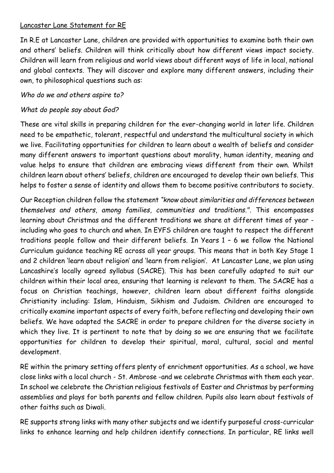## Lancaster Lane Statement for RE

In R.E at Lancaster Lane, children are provided with opportunities to examine both their own and others' beliefs. Children will think critically about how different views impact society. Children will learn from religious and world views about different ways of life in local, national and global contexts. They will discover and explore many different answers, including their own, to philosophical questions such as:

## *Who do we and others aspire to?*

## *What do people say about God?*

These are vital skills in preparing children for the ever-changing world in later life. Children need to be empathetic, tolerant, respectful and understand the multicultural society in which we live. Facilitating opportunities for children to learn about a wealth of beliefs and consider many different answers to important questions about morality, human identity, meaning and value helps to ensure that children are embracing views different from their own. Whilst children learn about others' beliefs, children are encouraged to develop their own beliefs. This helps to foster a sense of identity and allows them to become positive contributors to society.

Our Reception children follow the statement *"know about similarities and differences between themselves and others, among families, communities and traditions.".* This encompasses learning about Christmas and the different traditions we share at different times of year including who goes to church and when. In EYFS children are taught to respect the different traditions people follow and their different beliefs. In Years 1 – 6 we follow the National Curriculum guidance teaching RE across all year groups. This means that in both Key Stage 1 and 2 children 'learn about religion' and 'learn from religion'. At Lancaster Lane, we plan using Lancashire's locally agreed syllabus (SACRE). This has been carefully adapted to suit our children within their local area, ensuring that learning is relevant to them. The SACRE has a focus on Christian teachings, however, children learn about different faiths alongside Christianity including: Islam, Hinduism, Sikhism and Judaism. Children are encouraged to critically examine important aspects of every faith, before reflecting and developing their own beliefs. We have adapted the SACRE in order to prepare children for the diverse society in which they live. It is pertinent to note that by doing so we are ensuring that we facilitate opportunities for children to develop their spiritual, moral, cultural, social and mental development.

RE within the primary setting offers plenty of enrichment opportunities. As a school, we have close links with a local church - St. Ambrose -and we celebrate Christmas with them each year. In school we celebrate the Christian religious festivals of Easter and Christmas by performing assemblies and plays for both parents and fellow children. Pupils also learn about festivals of other faiths such as Diwali.

RE supports strong links with many other subjects and we identify purposeful cross-curricular links to enhance learning and help children identify connections. In particular, RE links well